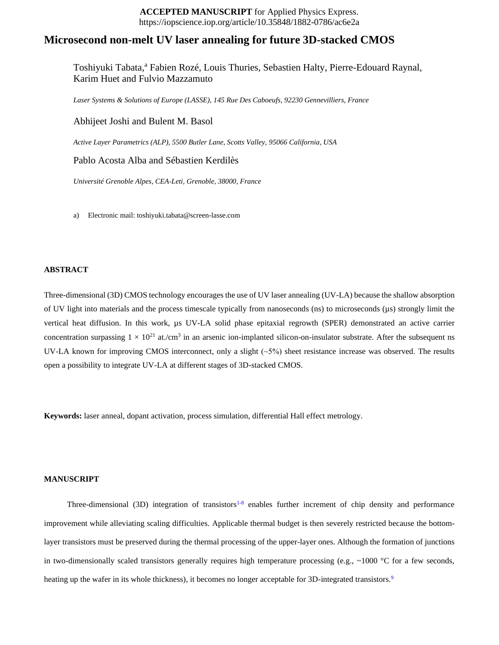## **ACCEPTED MANUSCRIPT** for Applied Physics Express. https://iopscience.iop.org/article/10.35848/1882-0786/ac6e2a

# **Microsecond non-melt UV laser annealing for future 3D-stacked CMOS**

Toshiyuki Tabata, <sup>a</sup> Fabien Rozé, Louis Thuries, Sebastien Halty, Pierre-Edouard Raynal, Karim Huet and Fulvio Mazzamuto

*Laser Systems & Solutions of Europe (LASSE), 145 Rue Des Caboeufs, 92230 Gennevilliers, France*

Abhijeet Joshi and Bulent M. Basol

*Active Layer Parametrics (ALP), 5500 Butler Lane, Scotts Valley, 95066 California, USA*

Pablo Acosta Alba and Sébastien Kerdilès

*Université Grenoble Alpes, CEA-Leti, Grenoble, 38000, France*

a) Electronic mail: toshiyuki.tabata@screen-lasse.com

## **ABSTRACT**

Three-dimensional (3D) CMOS technology encourages the use of UV laser annealing (UV-LA) because the shallow absorption of UV light into materials and the process timescale typically from nanoseconds (ns) to microseconds (µs) strongly limit the vertical heat diffusion. In this work, µs UV-LA solid phase epitaxial regrowth (SPER) demonstrated an active carrier concentration surpassing  $1 \times 10^{21}$  at./cm<sup>3</sup> in an arsenic ion-implanted silicon-on-insulator substrate. After the subsequent ns UV-LA known for improving CMOS interconnect, only a slight  $(\sim 5\%)$  sheet resistance increase was observed. The results open a possibility to integrate UV-LA at different stages of 3D-stacked CMOS.

**Keywords:** laser anneal, dopant activation, process simulation, differential Hall effect metrology.

#### **MANUSCRIPT**

Three-dimensional (3D) integration of transistors<sup>1-8</sup> enables further increment of chip density and performance improvement while alleviating scaling difficulties. Applicable thermal budget is then severely restricted because the bottomlayer transistors must be preserved during the thermal processing of the upper-layer ones. Although the formation of junctions in two-dimensionally scaled transistors generally requires high temperature processing (e.g.,  $\sim$ 1000 °C for a few seconds, heating up the wafer in its whole thickness), it becomes no longer acceptable for 3D-integrated transistors.<sup>9</sup>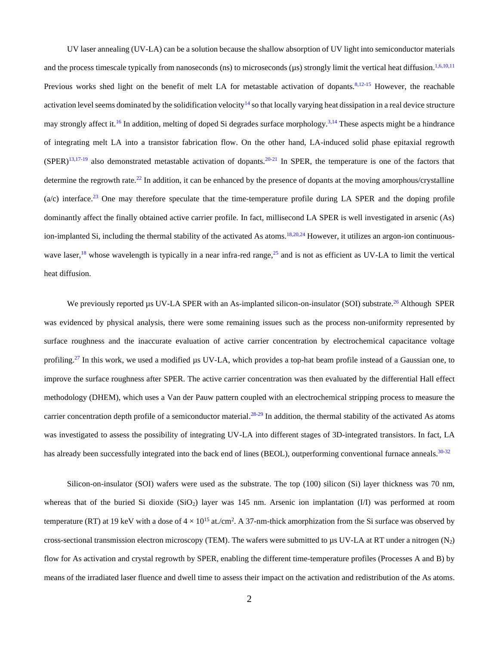UV laser annealing (UV-LA) can be a solution because the shallow absorption of UV light into semiconductor materials and the process timescale typically from nanoseconds (ns) to microseconds  $(\mu s)$  strongly limit the vertical heat diffusion.<sup>1,6,10,11</sup> Previous works shed light on the benefit of melt LA for metastable activation of dopants.<sup>8,12-15</sup> However, the reachable activation level seems dominated by the solidification velocity<sup>14</sup> so that locally varying heat dissipation in a real device structure may strongly affect it.<sup>16</sup> In addition, melting of doped Si degrades surface morphology.<sup>3,14</sup> These aspects might be a hindrance of integrating melt LA into a transistor fabrication flow. On the other hand, LA-induced solid phase epitaxial regrowth  $(SPER)^{13,17-19}$  also demonstrated metastable activation of dopants.<sup>20-21</sup> In SPER, the temperature is one of the factors that determine the regrowth rate.<sup>22</sup> In addition, it can be enhanced by the presence of dopants at the moving amorphous/crystalline  $(a/c)$  interface.<sup>23</sup> One may therefore speculate that the time-temperature profile during LA SPER and the doping profile dominantly affect the finally obtained active carrier profile. In fact, millisecond LA SPER is well investigated in arsenic (As) ion-implanted Si, including the thermal stability of the activated As atoms.<sup>18,20,24</sup> However, it utilizes an argon-ion continuouswave laser,<sup>18</sup> whose wavelength is typically in a near infra-red range,<sup>25</sup> and is not as efficient as UV-LA to limit the vertical heat diffusion.

We previously reported µs UV-LA SPER with an As-implanted silicon-on-insulator (SOI) substrate.<sup>26</sup> Although SPER was evidenced by physical analysis, there were some remaining issues such as the process non-uniformity represented by surface roughness and the inaccurate evaluation of active carrier concentration by electrochemical capacitance voltage profiling.<sup>27</sup> In this work, we used a modified µs UV-LA, which provides a top-hat beam profile instead of a Gaussian one, to improve the surface roughness after SPER. The active carrier concentration was then evaluated by the differential Hall effect methodology (DHEM), which uses a Van der Pauw pattern coupled with an electrochemical stripping process to measure the carrier concentration depth profile of a semiconductor material. $^{28-29}$  In addition, the thermal stability of the activated As atoms was investigated to assess the possibility of integrating UV-LA into different stages of 3D-integrated transistors. In fact, LA has already been successfully integrated into the back end of lines (BEOL), outperforming conventional furnace anneals.<sup>30-32</sup>

Silicon-on-insulator (SOI) wafers were used as the substrate. The top (100) silicon (Si) layer thickness was 70 nm, whereas that of the buried Si dioxide ( $SiO<sub>2</sub>$ ) layer was 145 nm. Arsenic ion implantation (I/I) was performed at room temperature (RT) at 19 keV with a dose of  $4 \times 10^{15}$  at./cm<sup>2</sup>. A 37-nm-thick amorphization from the Si surface was observed by cross-sectional transmission electron microscopy (TEM). The wafers were submitted to  $\mu$ s UV-LA at RT under a nitrogen (N<sub>2</sub>) flow for As activation and crystal regrowth by SPER, enabling the different time-temperature profiles (Processes A and B) by means of the irradiated laser fluence and dwell time to assess their impact on the activation and redistribution of the As atoms.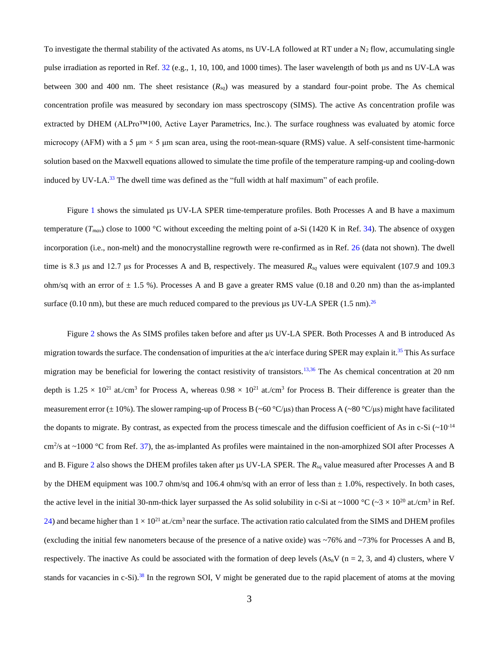To investigate the thermal stability of the activated As atoms, ns UV-LA followed at RT under a  $N_2$  flow, accumulating single pulse irradiation as reported in Ref. 32 (e.g., 1, 10, 100, and 1000 times). The laser wavelength of both  $\mu$ s and ns UV-LA was between 300 and 400 nm. The sheet resistance (*Rsq*) was measured by a standard four-point probe. The As chemical concentration profile was measured by secondary ion mass spectroscopy (SIMS). The active As concentration profile was extracted by DHEM (ALPro™100, Active Layer Parametrics, Inc.). The surface roughness was evaluated by atomic force microcopy (AFM) with a 5  $\mu$ m  $\times$  5  $\mu$ m scan area, using the root-mean-square (RMS) value. A self-consistent time-harmonic solution based on the Maxwell equations allowed to simulate the time profile of the temperature ramping-up and cooling-down induced by UV-LA.<sup>33</sup> The dwell time was defined as the "full width at half maximum" of each profile.

Figure 1 shows the simulated µs UV-LA SPER time-temperature profiles. Both Processes A and B have a maximum temperature  $(T_{max})$  close to 1000 °C without exceeding the melting point of a-Si (1420 K in Ref. 34). The absence of oxygen incorporation (i.e., non-melt) and the monocrystalline regrowth were re-confirmed as in Ref. 26 (data not shown). The dwell time is 8.3 μs and 12.7 μs for Processes A and B, respectively. The measured *Rsq* values were equivalent (107.9 and 109.3 ohm/sq with an error of  $\pm$  1.5 %). Processes A and B gave a greater RMS value (0.18 and 0.20 nm) than the as-implanted surface (0.10 nm), but these are much reduced compared to the previous µs UV-LA SPER (1.5 nm).<sup>26</sup>

Figure 2 shows the As SIMS profiles taken before and after µs UV-LA SPER. Both Processes A and B introduced As migration towards the surface. The condensation of impurities at the  $a/c$  interface during SPER may explain it.<sup>35</sup> This As surface migration may be beneficial for lowering the contact resistivity of transistors.<sup>13,36</sup> The As chemical concentration at 20 nm depth is  $1.25 \times 10^{21}$  at./cm<sup>3</sup> for Process A, whereas  $0.98 \times 10^{21}$  at./cm<sup>3</sup> for Process B. Their difference is greater than the measurement error ( $\pm$  10%). The slower ramping-up of Process B (~60 °C/μs) than Process A (~80 °C/μs) might have facilitated the dopants to migrate. By contrast, as expected from the process timescale and the diffusion coefficient of As in c-Si  $(\sim 10^{-14}$ cm<sup>2</sup>/s at  $\sim$ 1000 °C from Ref. 37), the as-implanted As profiles were maintained in the non-amorphized SOI after Processes A and B. Figure 2 also shows the DHEM profiles taken after µs UV-LA SPER. The *Rsq* value measured after Processes A and B by the DHEM equipment was 100.7 ohm/sq and 106.4 ohm/sq with an error of less than  $\pm$  1.0%, respectively. In both cases, the active level in the initial 30-nm-thick layer surpassed the As solid solubility in c-Si at ~1000 °C (~3 × 10<sup>20</sup> at./cm<sup>3</sup> in Ref. 24) and became higher than  $1 \times 10^{21}$  at./cm<sup>3</sup> near the surface. The activation ratio calculated from the SIMS and DHEM profiles (excluding the initial few nanometers because of the presence of a native oxide) was ~76% and ~73% for Processes A and B, respectively. The inactive As could be associated with the formation of deep levels  $(As_nV (n = 2, 3, and 4)$  clusters, where V stands for vacancies in c-Si).<sup>38</sup> In the regrown SOI, V might be generated due to the rapid placement of atoms at the moving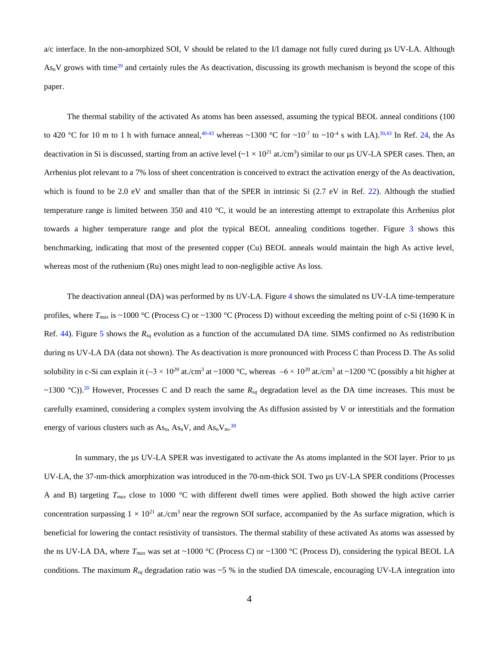a/c interface. In the non-amorphized SOI, V should be related to the I/I damage not fully cured during µs UV-LA. Although  $As_nV$  grows with time<sup>39</sup> and certainly rules the As deactivation, discussing its growth mechanism is beyond the scope of this paper.

The thermal stability of the activated As atoms has been assessed, assuming the typical BEOL anneal conditions (100 to 420 °C for 10 m to 1 h with furnace anneal,  $40-43$  whereas ~1300 °C for ~10<sup>-7</sup> to ~10<sup>-4</sup> s with LA).  $30.43$  In Ref. 24, the As deactivation in Si is discussed, starting from an active level  $({\sim}1 \times 10^{21}$  at./cm<sup>3</sup>) similar to our µs UV-LA SPER cases. Then, an Arrhenius plot relevant to a 7% loss of sheet concentration is conceived to extract the activation energy of the As deactivation, which is found to be 2.0 eV and smaller than that of the SPER in intrinsic Si (2.7 eV in Ref. 22). Although the studied temperature range is limited between 350 and 410 °C, it would be an interesting attempt to extrapolate this Arrhenius plot towards a higher temperature range and plot the typical BEOL annealing conditions together. Figure 3 shows this benchmarking, indicating that most of the presented copper (Cu) BEOL anneals would maintain the high As active level, whereas most of the ruthenium (Ru) ones might lead to non-negligible active As loss.

The deactivation anneal (DA) was performed by ns UV-LA. Figure 4 shows the simulated ns UV-LA time-temperature profiles, where *Tmax* is ~1000 °C (Process C) or ~1300 °C (Process D) without exceeding the melting point of c-Si (1690 K in Ref. 44). Figure 5 shows the *Rsq* evolution as a function of the accumulated DA time. SIMS confirmed no As redistribution during ns UV-LA DA (data not shown). The As deactivation is more pronounced with Process C than Process D. The As solid solubility in c-Si can explain it ( $\sim$ 3 × 10<sup>20</sup> at./cm<sup>3</sup> at ~1000 °C, whereas  $\sim$ 6 × 10<sup>20</sup> at./cm<sup>3</sup> at ~1200 °C (possibly a bit higher at  $\sim$ 1300 °C)).<sup>20</sup> However, Processes C and D reach the same  $R_{sq}$  degradation level as the DA time increases. This must be carefully examined, considering a complex system involving the As diffusion assisted by V or interstitials and the formation energy of various clusters such as  $\text{As}_{n}$ ,  $\text{As}_{n}V$ , and  $\text{As}_{n}V_{m}$ .<sup>38</sup>

In summary, the µs UV-LA SPER was investigated to activate the As atoms implanted in the SOI layer. Prior to µs UV-LA, the 37-nm-thick amorphization was introduced in the 70-nm-thick SOI. Two us UV-LA SPER conditions (Processes A and B) targeting *Tmax* close to 1000 °C with different dwell times were applied. Both showed the high active carrier concentration surpassing  $1 \times 10^{21}$  at./cm<sup>3</sup> near the regrown SOI surface, accompanied by the As surface migration, which is beneficial for lowering the contact resistivity of transistors. The thermal stability of these activated As atoms was assessed by the ns UV-LA DA, where  $T_{max}$  was set at ~1000 °C (Process C) or ~1300 °C (Process D), considering the typical BEOL LA conditions. The maximum *Rsq* degradation ratio was ~5 % in the studied DA timescale, encouraging UV-LA integration into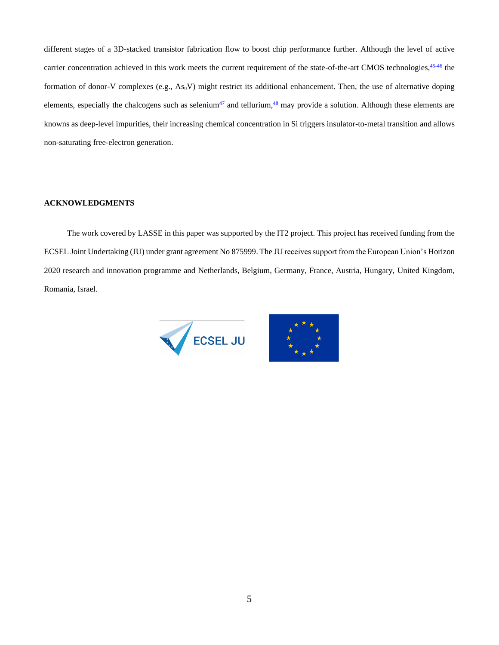different stages of a 3D-stacked transistor fabrication flow to boost chip performance further. Although the level of active carrier concentration achieved in this work meets the current requirement of the state-of-the-art CMOS technologies, <sup>45-46</sup> the formation of donor-V complexes (e.g.,  $As_nV$ ) might restrict its additional enhancement. Then, the use of alternative doping elements, especially the chalcogens such as selenium<sup>47</sup> and tellurium,<sup>48</sup> may provide a solution. Although these elements are knowns as deep-level impurities, their increasing chemical concentration in Si triggers insulator-to-metal transition and allows non-saturating free-electron generation.

#### **ACKNOWLEDGMENTS**

The work covered by LASSE in this paper was supported by the IT2 project. This project has received funding from the ECSEL Joint Undertaking (JU) under grant agreement No 875999. The JU receives support from the European Union's Horizon 2020 research and innovation programme and Netherlands, Belgium, Germany, France, Austria, Hungary, United Kingdom, Romania, Israel.



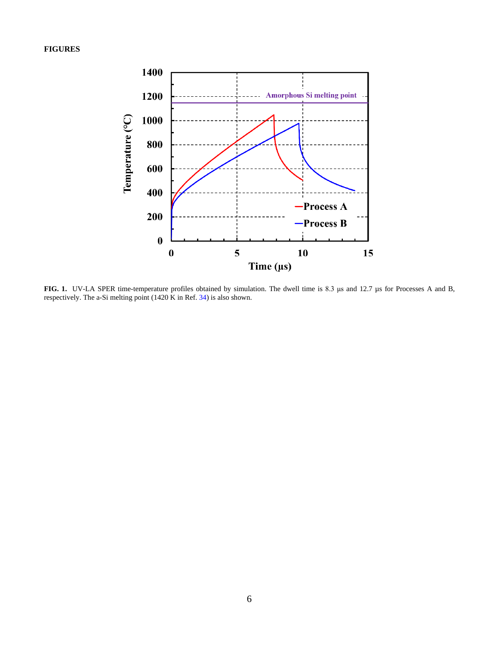**FIGURES**



**FIG. 1.** UV-LA SPER time-temperature profiles obtained by simulation. The dwell time is 8.3 μs and 12.7 µs for Processes A and B, respectively. The a-Si melting point (1420 K in Ref. 34) is also shown.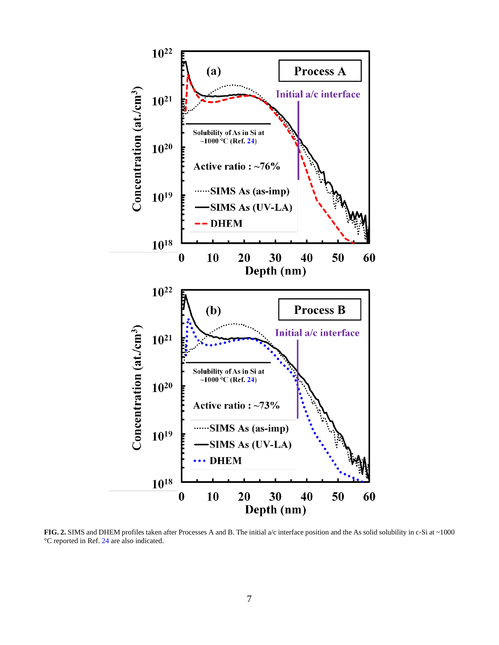

FIG. 2. SIMS and DHEM profiles taken after Processes A and B. The initial a/c interface position and the As solid solubility in c-Si at ~1000 °C reported in Ref. 24 are also indicated.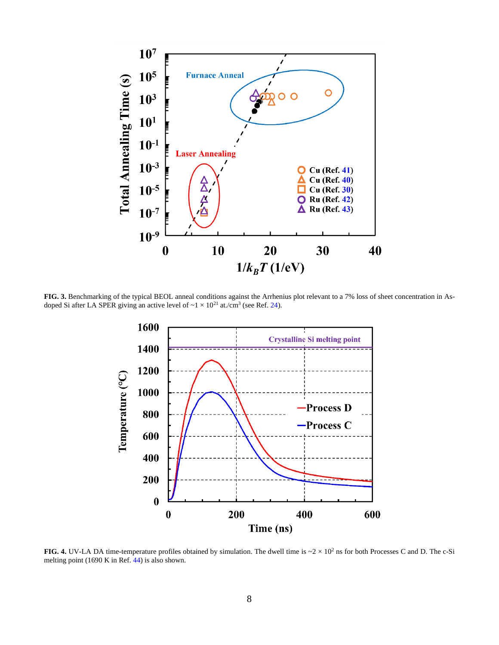

**FIG. 3.** Benchmarking of the typical BEOL anneal conditions against the Arrhenius plot relevant to a 7% loss of sheet concentration in Asdoped Si after LA SPER giving an active level of  $\sim 1 \times 10^{21}$  at./cm<sup>3</sup> (see Ref. 24).



**FIG. 4.** UV-LA DA time-temperature profiles obtained by simulation. The dwell time is  $\sim 2 \times 10^2$  ns for both Processes C and D. The c-Si melting point (1690 K in Ref. 44) is also shown.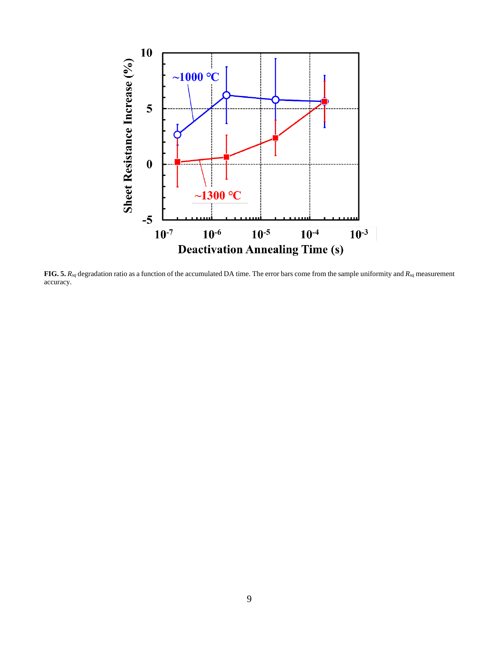

**FIG. 5.** *Rsq* degradation ratio as a function of the accumulated DA time. The error bars come from the sample uniformity and *Rsq* measurement accuracy.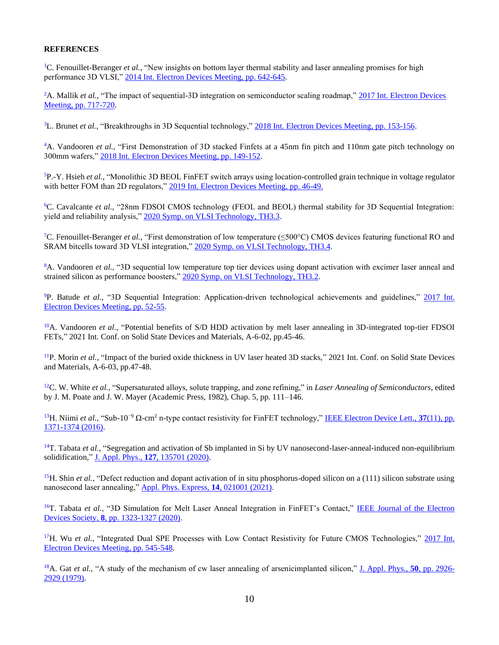### **REFERENCES**

<sup>1</sup>C. Fenouillet-Beranger *et al.*, "New insights on bottom layer thermal stability and laser annealing promises for high performance 3D VLSI," [2014 Int. Electron Devices Meeting,](https://ieeexplore.ieee.org/document/7047121) pp. 642-645.

<sup>2</sup>A. Mallik *et al.*, "The impact of sequential-3D integration on semiconductor scaling roadmap," 2017 Int. Electron Devices [Meeting, pp. 717-720.](https://ieeexplore.ieee.org/document/8268483)

<sup>3</sup>L. Brunet *et al.*, "Breakthroughs in 3D Sequential technology," [2018 Int. Electron Devices Meeting, pp. 153-156.](https://ieeexplore.ieee.org/document/8614653)

<sup>4</sup>A. Vandooren *et al.*, "First Demonstration of 3D stacked Finfets at a 45nm fin pitch and 110nm gate pitch technology on 300mm wafers," [2018 Int. Electron Devices Meeting, pp. 149-152.](https://ieeexplore.ieee.org/document/8614654)

<sup>5</sup>P.-Y. Hsieh *et al.*, "Monolithic 3D BEOL FinFET switch arrays using location-controlled grain technique in voltage regulator with better FOM than 2D regulators," [2019 Int. Electron Devices Meeting, pp. 46-49.](https://ieeexplore.ieee.org/document/8993441)

<sup>6</sup>C. Cavalcante *et al.*, "28nm FDSOI CMOS technology (FEOL and BEOL) thermal stability for 3D Sequential Integration: yield and reliability analysis," [2020 Symp. on VLSI Technology, TH3.3.](https://ieeexplore.ieee.org/abstract/document/9265075)

<sup>7</sup>C. Fenouillet-Beranger *et al.*, "First demonstration of low temperature (≤500°C) CMOS devices featuring functional RO and SRAM bitcells toward 3D VLSI integration,[" 2020 Symp. on VLSI Technology, TH3.4.](https://ieeexplore.ieee.org/abstract/document/9265092)

<sup>8</sup>A. Vandooren *et al.*, "3D sequential low temperature top tier devices using dopant activation with excimer laser anneal and strained silicon as performance boosters," [2020 Symp. on VLSI Technology, TH3.2.](https://ieeexplore.ieee.org/document/9265026)

<sup>9</sup>P. Batude *et al.*, "3D Sequential Integration: Application-driven technological achievements and guidelines," [2017 Int.](https://ieeexplore.ieee.org/document/8268316)  [Electron Devices Meeting, pp. 52-55.](https://ieeexplore.ieee.org/document/8268316)

<sup>10</sup>A. Vandooren *et al.*, "Potential benefits of S/D HDD activation by melt laser annealing in 3D-integrated top-tier FDSOI FETs," 2021 Int. Conf. on Solid State Devices and Materials, A-6-02, pp.45-46.

<sup>11</sup>P. Morin *et al.*, "Impact of the buried oxide thickness in UV laser heated 3D stacks," 2021 Int. Conf. on Solid State Devices and Materials, A-6-03, pp.47-48.

<sup>12</sup>C. W. White *et al.*, "Supersaturated alloys, solute trapping, and zone refining," in *Laser Annealing of Semiconductors*, edited by J. M. Poate and J. W. Mayer (Academic Press, 1982), Chap. 5, pp. 111–146.

<sup>13</sup>H. Niimi *et al.*, "Sub-10−9 Ω-cm<sup>2</sup> n-type contact resistivity for FinFET technology,[" IEEE Electron Device Lett.,](https://ieeexplore.ieee.org/document/7570170) **37**(11), pp. [1371-1374 \(2016\).](https://ieeexplore.ieee.org/document/7570170)

<sup>14</sup>T. Tabata *et al.*, "Segregation and activation of Sb implanted in Si by UV nanosecond-laser-anneal-induced non-equilibrium solidification," J. Appl. Phys., **127**[, 135701 \(2020\).](https://aip.scitation.org/doi/10.1063/5.0005176)

<sup>15</sup>H. Shin *et al.*, "Defect reduction and dopant activation of in situ phosphorus-doped silicon on a (111) silicon substrate using nanosecond laser annealing," [Appl. Phys. Express,](https://iopscience.iop.org/article/10.35848/1882-0786/abd718) **14**, 021001 (2021).

<sup>16</sup>T. Tabata *et al.*, "3D Simulation for Melt Laser Anneal Integration in FinFET's Contact," IEEE Journal of the Electron Devices Society, **8**[, pp. 1323-1327 \(2020\).](https://ieeexplore.ieee.org/document/9223740)

<sup>17</sup>H. Wu *et al.*, "Integrated Dual SPE Processes with Low Contact Resistivity for Future CMOS Technologies," 2017 Int. [Electron Devices Meeting, pp. 545-548.](https://ieeexplore.ieee.org/document/8268440)

<sup>18</sup>A. Gat *et al.*, "A study of the mechanism of cw laser annealing of arsenicimplanted silicon," [J. Appl. Phys.,](https://aip.scitation.org/doi/10.1063/1.326213) **50**, pp. 2926- [2929 \(1979\).](https://aip.scitation.org/doi/10.1063/1.326213)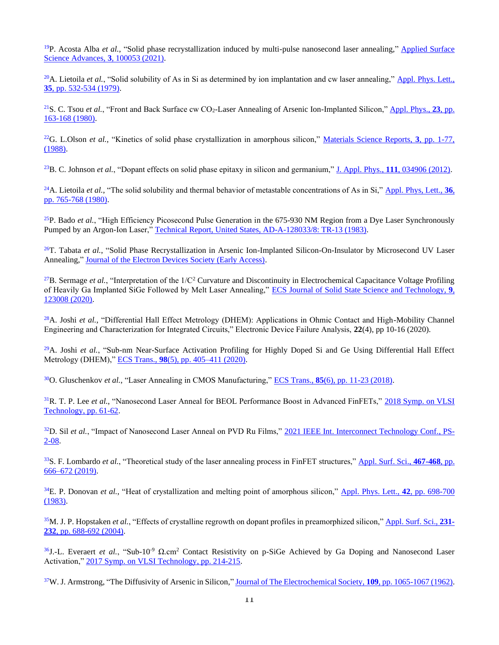<sup>19</sup>P. Acosta Alba *et al.*, "Solid phase recrystallization induced by multi-pulse nanosecond laser annealing," [Applied Surface](https://www.sciencedirect.com/science/article/pii/S2666523920300386)  [Science Advances,](https://www.sciencedirect.com/science/article/pii/S2666523920300386) **3**, 100053 (2021).

<sup>20</sup>A. Lietoila *et al.*, "Solid solubility of As in Si as determined by ion implantation and cw laser annealing," Appl. Phys. Lett., **35**[, pp. 532-534 \(1979\).](https://aip.scitation.org/doi/10.1063/1.91198)

<sup>21</sup>S. C. Tsou *et al.*, "Front and Back Surface cw CO2-Laser Annealing of Arsenic Ion-Implanted Silicon," [Appl. Phys.,](https://link.springer.com/article/10.1007/BF00899712) **23**, pp. [163-168 \(1980\).](https://link.springer.com/article/10.1007/BF00899712)

<sup>22</sup>G. L.Olson *et al.*, "Kinetics of solid phase crystallization in amorphous silicon," [Materials Science Reports,](https://www.sciencedirect.com/science/article/pii/S0920230788800057) **3**, pp. 1-77, [\(1988\).](https://www.sciencedirect.com/science/article/pii/S0920230788800057)

<sup>23</sup>B. C. Johnson *et al.*, "Dopant effects on solid phase epitaxy in silicon and germanium," J. Appl. Phys., **111**[, 034906 \(2012\).](https://aip.scitation.org/doi/10.1063/1.3682532)

<sup>24</sup>A. Lietoila *et al.*, "The solid solubility and thermal behavior of metastable concentrations of As in Si," [Appl. Phys, Lett.,](https://aip.scitation.org/doi/10.1063/1.91650) **36**, [pp. 765-768](https://aip.scitation.org/doi/10.1063/1.91650) (1980).

<sup>25</sup>P. Bado *et al.*, "High Efficiency Picosecond Pulse Generation in the 675-930 NM Region from a Dye Laser Synchronously Pumped by an Argon-Ion Laser," [Technical Report, United States, AD-A-128033/8:](https://www.osti.gov/biblio/5612009-high-efficiency-picosecond-pulse-generation-nm-region-from-dye-laser-synchronously-pumped-argon-ion-laser-technical-report.) TR-13 (1983).

<sup>26</sup>T. Tabata et al., "Solid Phase Recrystallization in Arsenic Ion-Implanted Silicon-On-Insulator by Microsecond UV Laser Annealing," [Journal of the Electron Devices Society \(Early Access\).](https://ieeexplore.ieee.org/document/9631962)

<sup>27</sup>B. Sermage *et al.*, "Interpretation of the  $1/C^2$  Curvature and Discontinuity in Electrochemical Capacitance Voltage Profiling of Heavily Ga Implanted SiGe Followed by Melt Laser Annealing," [ECS Journal of Solid State Science and](https://iopscience.iop.org/article/10.1149/2162-8777/abcd09) Technology, **9**, [123008 \(2020\).](https://iopscience.iop.org/article/10.1149/2162-8777/abcd09)

<sup>28</sup>A. Joshi *et al.*, "Differential Hall Effect Metrology (DHEM): Applications in Ohmic Contact and High-Mobility Channel Engineering and Characterization for Integrated Circuits," Electronic Device Failure Analysis, **22**(4), pp 10-16 (2020).

<sup>29</sup>A. Joshi *et al.*, "Sub-nm Near-Surface Activation Profiling for Highly Doped Si and Ge Using Differential Hall Effect Metrology (DHEM)," ECS Trans., **98**[\(5\), pp. 405–411 \(2020\).](https://iopscience.iop.org/article/10.1149/09805.0405ecst)

<sup>30</sup>O. Gluschenkov *et al.*, "Laser Annealing in CMOS Manufacturing," ECS Trans., **85**[\(6\), pp. 11-23 \(2018\).](https://iopscience.iop.org/article/10.1149/08506.0011ecst)

<sup>31</sup>R. T. P. Lee *et al.*, "Nanosecond Laser Anneal for BEOL Performance Boost in Advanced FinFETs," [2018 Symp. on VLSI](https://ieeexplore.ieee.org/document/8510651)  [Technology, pp. 61-62.](https://ieeexplore.ieee.org/document/8510651)

<sup>32</sup>D. Sil *et al.*, "Impact of Nanosecond Laser Anneal on PVD Ru Films," [2021 IEEE Int. Interconnect Technology Conf., PS-](https://ieeexplore.ieee.org/abstract/document/9537396)[2-08.](https://ieeexplore.ieee.org/abstract/document/9537396)

<sup>33</sup>S. F. Lombardo *et al.*, "Theoretical study of the laser annealing process in FinFET structures," [Appl. Surf. Sci.,](https://www.sciencedirect.com/science/article/abs/pii/S0169433218329246) **467-468**, pp. [666–672 \(2019\).](https://www.sciencedirect.com/science/article/abs/pii/S0169433218329246)

<sup>34</sup>E. P. Donovan *et al.*, "Heat of crystallization and melting point of amorphous silicon," [Appl. Phys. Lett.,](https://aip.scitation.org/doi/10.1063/1.94077) **42**, pp. 698-700 [\(1983\).](https://aip.scitation.org/doi/10.1063/1.94077)

<sup>35</sup>M. J. P. Hopstaken *et al.*, "Effects of crystalline regrowth on dopant profiles in preamorphized silicon," [Appl. Surf. Sci.,](https://www.sciencedirect.com/science/article/abs/pii/S0169433204004246) **231- 232**[, pp. 688-692 \(2004\).](https://www.sciencedirect.com/science/article/abs/pii/S0169433204004246)

<sup>36</sup>J.-L. Everaert *et al.*, "Sub-10<sup>-9</sup> Ω.cm<sup>2</sup> Contact Resistivity on p-SiGe Achieved by Ga Doping and Nanosecond Laser Activation,[" 2017 Symp. on VLSI Technology, pp. 214-215.](https://ieeexplore.ieee.org/document/7998176)

<sup>37</sup>W. J. Armstrong, "The Diffusivity of Arsenic in Silicon," [Journal of The Electrochemical Society,](https://iopscience.iop.org/article/10.1149/1.2425237) **109**, pp. 1065-1067 (1962).